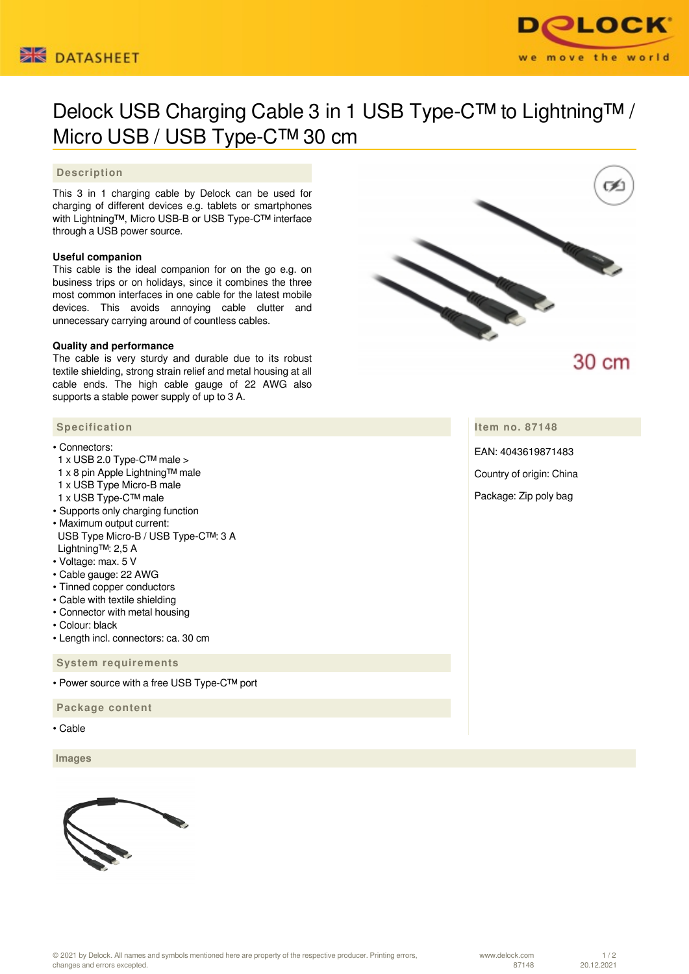



# Delock USB Charging Cable 3 in 1 USB Type-C™ to Lightning™ / Micro USB / USB Type-C™ 30 cm

## **Description**

This 3 in 1 charging cable by Delock can be used for charging of different devices e.g. tablets or smartphones with Lightning™, Micro USB-B or USB Type-C™ interface through a USB power source.

#### **Useful companion**

This cable is the ideal companion for on the go e.g. on business trips or on holidays, since it combines the three most common interfaces in one cable for the latest mobile devices. This avoids annoying cable clutter and unnecessary carrying around of countless cables.

#### **Quality and performance**

The cable is very sturdy and durable due to its robust textile shielding, strong strain relief and metal housing at all cable ends. The high cable gauge of 22 AWG also supports a stable power supply of up to 3 A.

## **Specification**

- Connectors:
- 1 x USB 2.0 Type-C™ male >
- 1 x 8 pin Apple Lightning™ male
- 1 x USB Type Micro-B male
- 1 x USB Type-C™ male
- Supports only charging function
- Maximum output current: USB Type Micro-B / USB Type-C™: 3 A Lightning™: 2,5 A
- Voltage: max. 5 V
- Cable gauge: 22 AWG
- Tinned copper conductors
- Cable with textile shielding
- Connector with metal housing
- Colour: black
- Length incl. connectors: ca. 30 cm

 **System requirements**

• Power source with a free USB Type-C™ port

 **Package content**

• Cable

 **Images**







30 cm

**Item no. 87148**

EAN: 4043619871483

Country of origin: China

Package: Zip poly bag